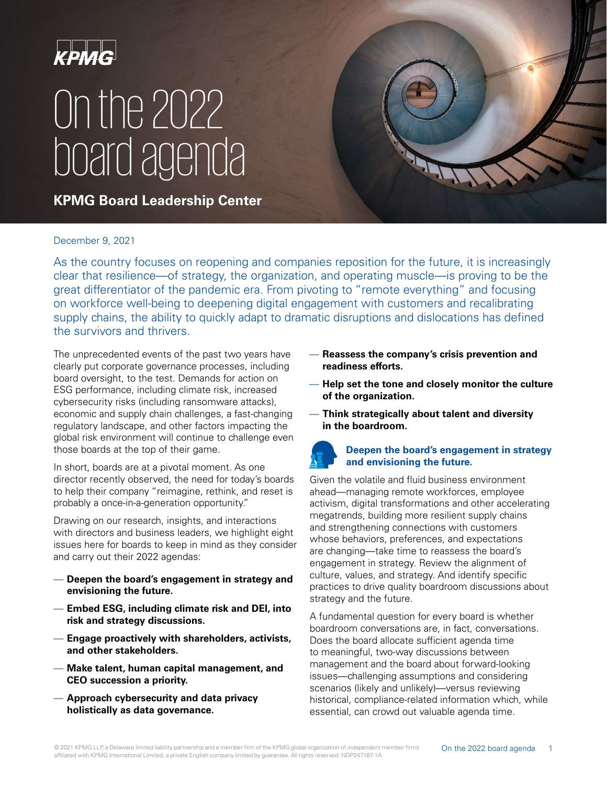

# On the 2022 board agenda

**KPMG Board Leadership Center**

#### December 9, 2021

As the country focuses on reopening and companies reposition for the future, it is increasingly clear that resilience—of strategy, the organization, and operating muscle—is proving to be the great differentiator of the pandemic era. From pivoting to "remote everything" and focusing on workforce well-being to deepening digital engagement with customers and recalibrating supply chains, the ability to quickly adapt to dramatic disruptions and dislocations has defined the survivors and thrivers.

The unprecedented events of the past two years have clearly put corporate governance processes, including board oversight, to the test. Demands for action on ESG performance, including climate risk, increased cybersecurity risks (including ransomware attacks), economic and supply chain challenges, a fast-changing regulatory landscape, and other factors impacting the global risk environment will continue to challenge even those boards at the top of their game.

In short, boards are at a pivotal moment. As one director recently observed, the need for today's boards to help their company "reimagine, rethink, and reset is probably a once-in-a-generation opportunity."

Drawing on our research, insights, and interactions with directors and business leaders, we highlight eight issues here for boards to keep in mind as they consider and carry out their 2022 agendas:

- **Deepen the board's engagement in strategy and envisioning the future.**
- **Embed ESG, including climate risk and DEI, into risk and strategy discussions.**
- **Engage proactively with shareholders, activists, and other stakeholders.**
- **Make talent, human capital management, and CEO succession a priority.**
- **Approach cybersecurity and data privacy holistically as data governance.**
- **Reassess the company's crisis prevention and readiness efforts.**
- **Help set the tone and closely monitor the culture of the organization.**
- **Think strategically about talent and diversity in the boardroom.**

## **Deepen the board's engagement in strategy and envisioning the future.**

Given the volatile and fluid business environment ahead—managing remote workforces, employee activism, digital transformations and other accelerating megatrends, building more resilient supply chains and strengthening connections with customers whose behaviors, preferences, and expectations are changing—take time to reassess the board's engagement in strategy. Review the alignment of culture, values, and strategy. And identify specific practices to drive quality boardroom discussions about strategy and the future.

A fundamental question for every board is whether boardroom conversations are, in fact, conversations. Does the board allocate sufficient agenda time to meaningful, two-way discussions between management and the board about forward-looking issues—challenging assumptions and considering scenarios (likely and unlikely)—versus reviewing historical, compliance-related information which, while essential, can crowd out valuable agenda time.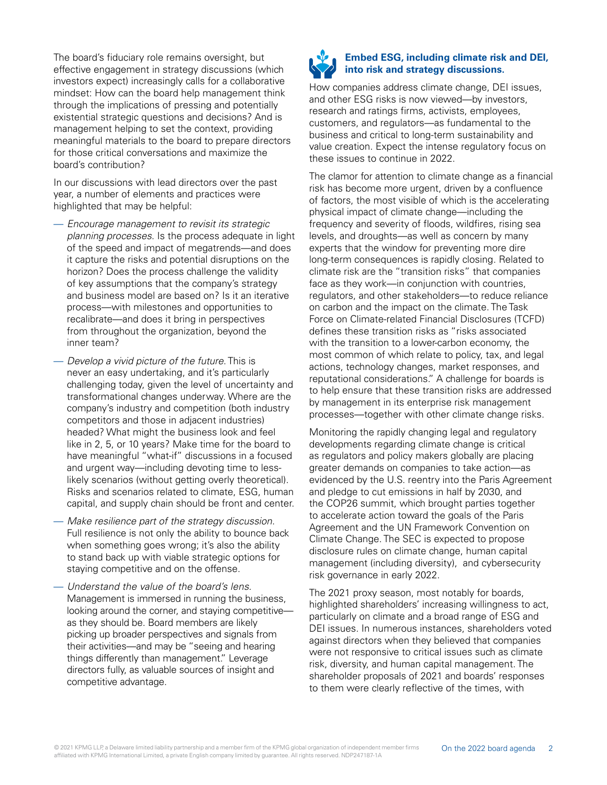The board's fiduciary role remains oversight, but effective engagement in strategy discussions (which investors expect) increasingly calls for a collaborative mindset: How can the board help management think through the implications of pressing and potentially existential strategic questions and decisions? And is management helping to set the context, providing meaningful materials to the board to prepare directors for those critical conversations and maximize the board's contribution?

In our discussions with lead directors over the past year, a number of elements and practices were highlighted that may be helpful:

- Encourage management to revisit its strategic planning processes. Is the process adequate in light of the speed and impact of megatrends—and does it capture the risks and potential disruptions on the horizon? Does the process challenge the validity of key assumptions that the company's strategy and business model are based on? Is it an iterative process—with milestones and opportunities to recalibrate—and does it bring in perspectives from throughout the organization, beyond the inner team?
- Develop a vivid picture of the future. This is never an easy undertaking, and it's particularly challenging today, given the level of uncertainty and transformational changes underway. Where are the company's industry and competition (both industry competitors and those in adjacent industries) headed? What might the business look and feel like in 2, 5, or 10 years? Make time for the board to have meaningful "what-if" discussions in a focused and urgent way—including devoting time to lesslikely scenarios (without getting overly theoretical). Risks and scenarios related to climate, ESG, human capital, and supply chain should be front and center.
- Make resilience part of the strategy discussion. Full resilience is not only the ability to bounce back when something goes wrong; it's also the ability to stand back up with viable strategic options for staying competitive and on the offense.
- Understand the value of the board's lens. Management is immersed in running the business, looking around the corner, and staying competitive as they should be. Board members are likely picking up broader perspectives and signals from their activities—and may be "seeing and hearing things differently than management." Leverage directors fully, as valuable sources of insight and competitive advantage.



#### **Embed ESG, including climate risk and DEI, into risk and strategy discussions.**

How companies address climate change, DEI issues, and other ESG risks is now viewed—by investors, research and ratings firms, activists, employees, customers, and regulators—as fundamental to the business and critical to long-term sustainability and value creation. Expect the intense regulatory focus on these issues to continue in 2022.

The clamor for attention to climate change as a financial risk has become more urgent, driven by a confluence of factors, the most visible of which is the accelerating physical impact of climate change—including the frequency and severity of floods, wildfires, rising sea levels, and droughts—as well as concern by many experts that the window for preventing more dire long-term consequences is rapidly closing. Related to climate risk are the "transition risks" that companies face as they work—in conjunction with countries, regulators, and other stakeholders—to reduce reliance on carbon and the impact on the climate. The Task Force on Climate-related Financial Disclosures (TCFD) defines these transition risks as "risks associated with the transition to a lower-carbon economy, the most common of which relate to policy, tax, and legal actions, technology changes, market responses, and reputational considerations." A challenge for boards is to help ensure that these transition risks are addressed by management in its enterprise risk management processes—together with other climate change risks.

Monitoring the rapidly changing legal and regulatory developments regarding climate change is critical as regulators and policy makers globally are placing greater demands on companies to take action—as evidenced by the U.S. reentry into the Paris Agreement and pledge to cut emissions in half by 2030, and the COP26 summit, which brought parties together to accelerate action toward the goals of the Paris Agreement and the UN Framework Convention on Climate Change. The SEC is expected to propose disclosure rules on climate change, human capital management (including diversity), and cybersecurity risk governance in early 2022.

The 2021 proxy season, most notably for boards, highlighted shareholders' increasing willingness to act, particularly on climate and a broad range of ESG and DEI issues. In numerous instances, shareholders voted against directors when they believed that companies were not responsive to critical issues such as climate risk, diversity, and human capital management. The shareholder proposals of 2021 and boards' responses to them were clearly reflective of the times, with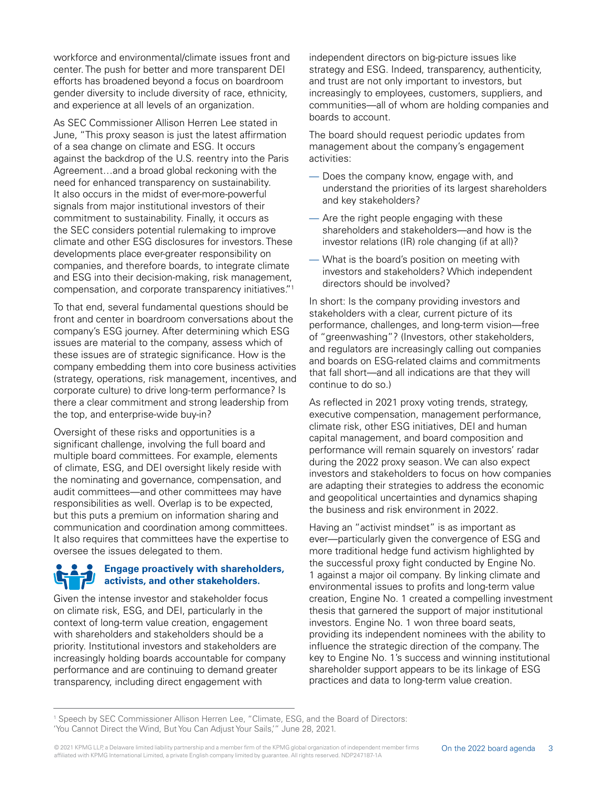workforce and environmental/climate issues front and center. The push for better and more transparent DEI efforts has broadened beyond a focus on boardroom gender diversity to include diversity of race, ethnicity, and experience at all levels of an organization.

As SEC Commissioner Allison Herren Lee stated in June, "This proxy season is just the latest affirmation of a sea change on climate and ESG. It occurs against the backdrop of the U.S. reentry into the Paris Agreement…and a broad global reckoning with the need for enhanced transparency on sustainability. It also occurs in the midst of ever-more-powerful signals from major institutional investors of their commitment to sustainability. Finally, it occurs as the SEC considers potential rulemaking to improve climate and other ESG disclosures for investors. These developments place ever-greater responsibility on companies, and therefore boards, to integrate climate and ESG into their decision-making, risk management, compensation, and corporate transparency initiatives."1

To that end, several fundamental questions should be front and center in boardroom conversations about the company's ESG journey. After determining which ESG issues are material to the company, assess which of these issues are of strategic significance. How is the company embedding them into core business activities (strategy, operations, risk management, incentives, and corporate culture) to drive long-term performance? Is there a clear commitment and strong leadership from the top, and enterprise-wide buy-in?

Oversight of these risks and opportunities is a significant challenge, involving the full board and multiple board committees. For example, elements of climate, ESG, and DEI oversight likely reside with the nominating and governance, compensation, and audit committees—and other committees may have responsibilities as well. Overlap is to be expected, but this puts a premium on information sharing and communication and coordination among committees. It also requires that committees have the expertise to oversee the issues delegated to them.

### **Engage proactively with shareholders, activists, and other stakeholders.**

Given the intense investor and stakeholder focus on climate risk, ESG, and DEI, particularly in the context of long-term value creation, engagement with shareholders and stakeholders should be a priority. Institutional investors and stakeholders are increasingly holding boards accountable for company performance and are continuing to demand greater transparency, including direct engagement with

independent directors on big-picture issues like strategy and ESG. Indeed, transparency, authenticity, and trust are not only important to investors, but increasingly to employees, customers, suppliers, and communities—all of whom are holding companies and boards to account.

The board should request periodic updates from management about the company's engagement activities:

- Does the company know, engage with, and understand the priorities of its largest shareholders and key stakeholders?
- Are the right people engaging with these shareholders and stakeholders—and how is the investor relations (IR) role changing (if at all)?
- What is the board's position on meeting with investors and stakeholders? Which independent directors should be involved?

In short: Is the company providing investors and stakeholders with a clear, current picture of its performance, challenges, and long-term vision—free of "greenwashing"? (Investors, other stakeholders, and regulators are increasingly calling out companies and boards on ESG-related claims and commitments that fall short—and all indications are that they will continue to do so.)

As reflected in 2021 proxy voting trends, strategy, executive compensation, management performance, climate risk, other ESG initiatives, DEI and human capital management, and board composition and performance will remain squarely on investors' radar during the 2022 proxy season. We can also expect investors and stakeholders to focus on how companies are adapting their strategies to address the economic and geopolitical uncertainties and dynamics shaping the business and risk environment in 2022.

Having an "activist mindset" is as important as ever—particularly given the convergence of ESG and more traditional hedge fund activism highlighted by the successful proxy fight conducted by Engine No. 1 against a major oil company. By linking climate and environmental issues to profits and long-term value creation, Engine No. 1 created a compelling investment thesis that garnered the support of major institutional investors. Engine No. 1 won three board seats, providing its independent nominees with the ability to influence the strategic direction of the company. The key to Engine No. 1's success and winning institutional shareholder support appears to be its linkage of ESG practices and data to long-term value creation.

<sup>1</sup> Speech by SEC Commissioner Allison Herren Lee, "Climate, ESG, and the Board of Directors: 'You Cannot Direct the Wind, But You Can Adjust Your Sails,'" June 28, 2021.

<sup>© 2021</sup> KPMG LLP, a Delaware limited liability partnership and a member firm of the KPMG global organization of independent member firms affiliated with KPMG International Limited, a private English company limited by guarantee. All rights reserved. NDP247187-1A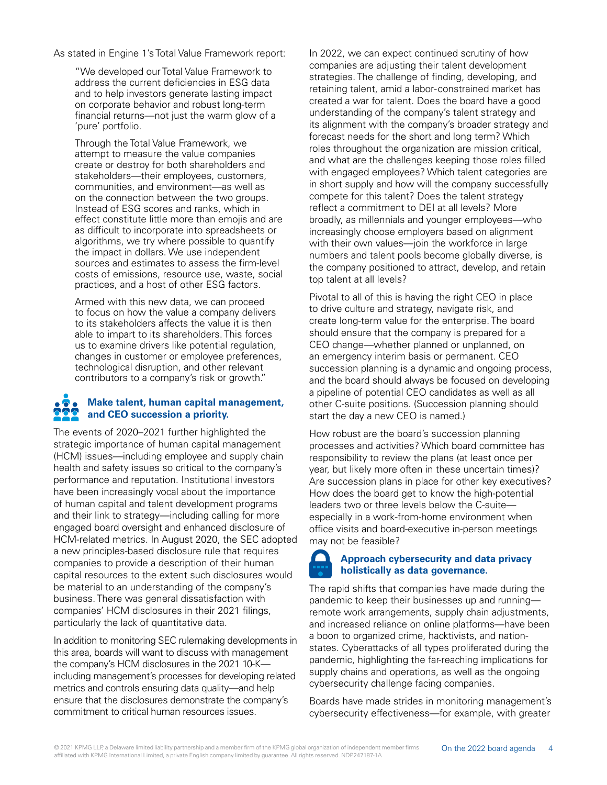As stated in Engine 1's Total Value Framework report:

"We developed our Total Value Framework to address the current deficiencies in ESG data and to help investors generate lasting impact on corporate behavior and robust long-term financial returns—not just the warm glow of a 'pure' portfolio.

Through the Total Value Framework, we attempt to measure the value companies create or destroy for both shareholders and stakeholders—their employees, customers, communities, and environment—as well as on the connection between the two groups. Instead of ESG scores and ranks, which in effect constitute little more than emojis and are as difficult to incorporate into spreadsheets or algorithms, we try where possible to quantify the impact in dollars. We use independent sources and estimates to assess the firm-level costs of emissions, resource use, waste, social practices, and a host of other ESG factors.

Armed with this new data, we can proceed to focus on how the value a company delivers to its stakeholders affects the value it is then able to impart to its shareholders. This forces us to examine drivers like potential regulation, changes in customer or employee preferences, technological disruption, and other relevant contributors to a company's risk or growth."

#### **Make talent, human capital management,**   $\bullet \bullet \bullet$ **and CEO succession a priority.**

The events of 2020–2021 further highlighted the strategic importance of human capital management (HCM) issues—including employee and supply chain health and safety issues so critical to the company's performance and reputation. Institutional investors have been increasingly vocal about the importance of human capital and talent development programs and their link to strategy—including calling for more engaged board oversight and enhanced disclosure of HCM-related metrics. In August 2020, the SEC adopted a new principles-based disclosure rule that requires companies to provide a description of their human capital resources to the extent such disclosures would be material to an understanding of the company's business. There was general dissatisfaction with companies' HCM disclosures in their 2021 filings, particularly the lack of quantitative data.

In addition to monitoring SEC rulemaking developments in this area, boards will want to discuss with management the company's HCM disclosures in the 2021 10-K including management's processes for developing related metrics and controls ensuring data quality—and help ensure that the disclosures demonstrate the company's commitment to critical human resources issues.

In 2022, we can expect continued scrutiny of how companies are adjusting their talent development strategies. The challenge of finding, developing, and retaining talent, amid a labor-constrained market has created a war for talent. Does the board have a good understanding of the company's talent strategy and its alignment with the company's broader strategy and forecast needs for the short and long term? Which roles throughout the organization are mission critical, and what are the challenges keeping those roles filled with engaged employees? Which talent categories are in short supply and how will the company successfully compete for this talent? Does the talent strategy reflect a commitment to DEI at all levels? More broadly, as millennials and younger employees—who increasingly choose employers based on alignment with their own values—join the workforce in large numbers and talent pools become globally diverse, is the company positioned to attract, develop, and retain top talent at all levels?

Pivotal to all of this is having the right CEO in place to drive culture and strategy, navigate risk, and create long-term value for the enterprise. The board should ensure that the company is prepared for a CEO change—whether planned or unplanned, on an emergency interim basis or permanent. CEO succession planning is a dynamic and ongoing process, and the board should always be focused on developing a pipeline of potential CEO candidates as well as all other C-suite positions. (Succession planning should start the day a new CEO is named.)

How robust are the board's succession planning processes and activities? Which board committee has responsibility to review the plans (at least once per year, but likely more often in these uncertain times)? Are succession plans in place for other key executives? How does the board get to know the high-potential leaders two or three levels below the C-suite especially in a work-from-home environment when office visits and board-executive in-person meetings may not be feasible?

#### **Approach cybersecurity and data privacy holistically as data governance.**

The rapid shifts that companies have made during the pandemic to keep their businesses up and running remote work arrangements, supply chain adjustments, and increased reliance on online platforms—have been a boon to organized crime, hacktivists, and nationstates. Cyberattacks of all types proliferated during the pandemic, highlighting the far-reaching implications for supply chains and operations, as well as the ongoing cybersecurity challenge facing companies.

Boards have made strides in monitoring management's cybersecurity effectiveness—for example, with greater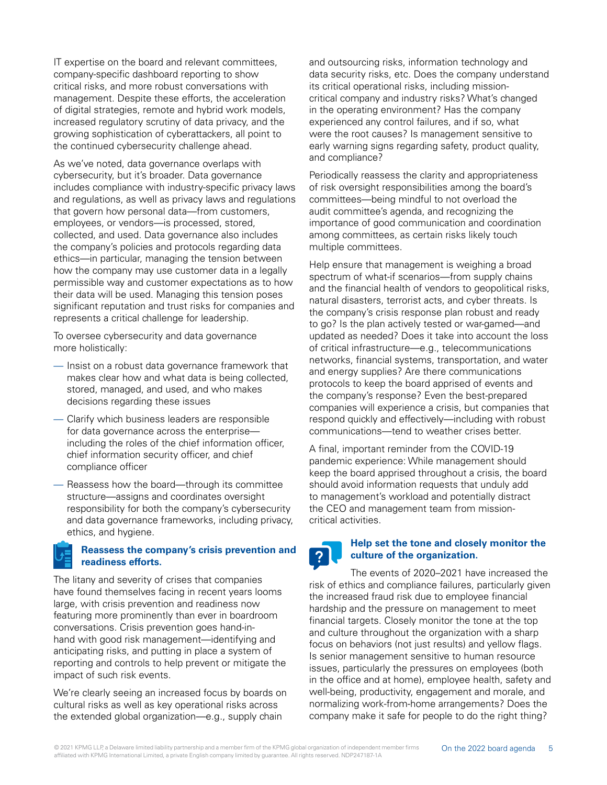IT expertise on the board and relevant committees, company-specific dashboard reporting to show critical risks, and more robust conversations with management. Despite these efforts, the acceleration of digital strategies, remote and hybrid work models, increased regulatory scrutiny of data privacy, and the growing sophistication of cyberattackers, all point to the continued cybersecurity challenge ahead.

As we've noted, data governance overlaps with cybersecurity, but it's broader. Data governance includes compliance with industry-specific privacy laws and regulations, as well as privacy laws and regulations that govern how personal data—from customers, employees, or vendors—is processed, stored, collected, and used. Data governance also includes the company's policies and protocols regarding data ethics—in particular, managing the tension between how the company may use customer data in a legally permissible way and customer expectations as to how their data will be used. Managing this tension poses significant reputation and trust risks for companies and represents a critical challenge for leadership.

To oversee cybersecurity and data governance more holistically:

- Insist on a robust data governance framework that makes clear how and what data is being collected, stored, managed, and used, and who makes decisions regarding these issues
- Clarify which business leaders are responsible for data governance across the enterprise including the roles of the chief information officer, chief information security officer, and chief compliance officer
- Reassess how the board—through its committee structure—assigns and coordinates oversight responsibility for both the company's cybersecurity and data governance frameworks, including privacy, ethics, and hygiene.

#### **Reassess the company's crisis prevention and readiness efforts.**

The litany and severity of crises that companies have found themselves facing in recent years looms large, with crisis prevention and readiness now featuring more prominently than ever in boardroom conversations. Crisis prevention goes hand-inhand with good risk management—identifying and anticipating risks, and putting in place a system of reporting and controls to help prevent or mitigate the impact of such risk events.

We're clearly seeing an increased focus by boards on cultural risks as well as key operational risks across the extended global organization—e.g., supply chain

and outsourcing risks, information technology and data security risks, etc. Does the company understand its critical operational risks, including missioncritical company and industry risks? What's changed in the operating environment? Has the company experienced any control failures, and if so, what were the root causes? Is management sensitive to early warning signs regarding safety, product quality, and compliance?

Periodically reassess the clarity and appropriateness of risk oversight responsibilities among the board's committees—being mindful to not overload the audit committee's agenda, and recognizing the importance of good communication and coordination among committees, as certain risks likely touch multiple committees.

Help ensure that management is weighing a broad spectrum of what-if scenarios—from supply chains and the financial health of vendors to geopolitical risks, natural disasters, terrorist acts, and cyber threats. Is the company's crisis response plan robust and ready to go? Is the plan actively tested or war-gamed—and updated as needed? Does it take into account the loss of critical infrastructure—e.g., telecommunications networks, financial systems, transportation, and water and energy supplies? Are there communications protocols to keep the board apprised of events and the company's response? Even the best-prepared companies will experience a crisis, but companies that respond quickly and effectively—including with robust communications—tend to weather crises better.

A final, important reminder from the COVID-19 pandemic experience: While management should keep the board apprised throughout a crisis, the board should avoid information requests that unduly add to management's workload and potentially distract the CEO and management team from missioncritical activities.

## $\overline{?}$

#### **Help set the tone and closely monitor the culture of the organization.**

The events of 2020–2021 have increased the risk of ethics and compliance failures, particularly given the increased fraud risk due to employee financial hardship and the pressure on management to meet financial targets. Closely monitor the tone at the top and culture throughout the organization with a sharp focus on behaviors (not just results) and yellow flags. Is senior management sensitive to human resource issues, particularly the pressures on employees (both in the office and at home), employee health, safety and well-being, productivity, engagement and morale, and normalizing work-from-home arrangements? Does the company make it safe for people to do the right thing?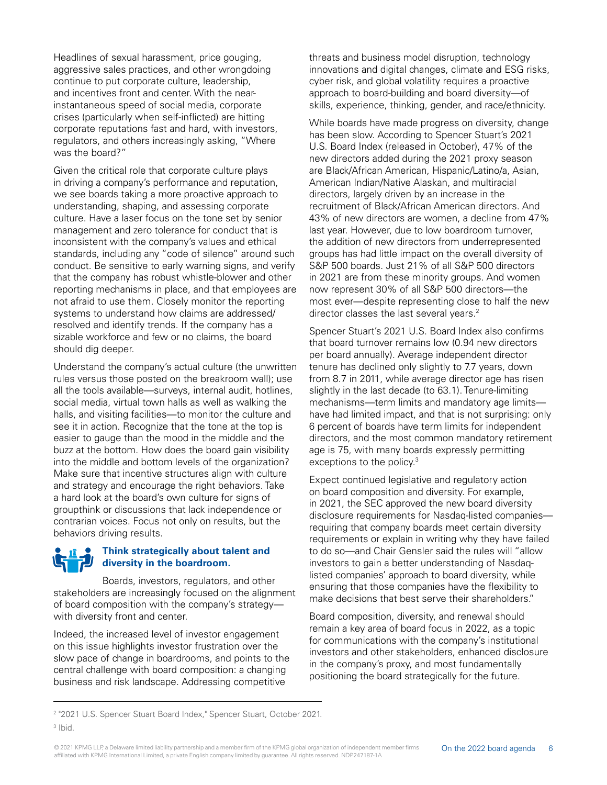Headlines of sexual harassment, price gouging, aggressive sales practices, and other wrongdoing continue to put corporate culture, leadership, and incentives front and center. With the nearinstantaneous speed of social media, corporate crises (particularly when self-inflicted) are hitting corporate reputations fast and hard, with investors, regulators, and others increasingly asking, "Where was the board?"

Given the critical role that corporate culture plays in driving a company's performance and reputation, we see boards taking a more proactive approach to understanding, shaping, and assessing corporate culture. Have a laser focus on the tone set by senior management and zero tolerance for conduct that is inconsistent with the company's values and ethical standards, including any "code of silence" around such conduct. Be sensitive to early warning signs, and verify that the company has robust whistle-blower and other reporting mechanisms in place, and that employees are not afraid to use them. Closely monitor the reporting systems to understand how claims are addressed/ resolved and identify trends. If the company has a sizable workforce and few or no claims, the board should dig deeper.

Understand the company's actual culture (the unwritten rules versus those posted on the breakroom wall); use all the tools available—surveys, internal audit, hotlines, social media, virtual town halls as well as walking the halls, and visiting facilities—to monitor the culture and see it in action. Recognize that the tone at the top is easier to gauge than the mood in the middle and the buzz at the bottom. How does the board gain visibility into the middle and bottom levels of the organization? Make sure that incentive structures align with culture and strategy and encourage the right behaviors. Take a hard look at the board's own culture for signs of groupthink or discussions that lack independence or contrarian voices. Focus not only on results, but the behaviors driving results.

#### **Think strategically about talent and diversity in the boardroom.**

Boards, investors, regulators, and other stakeholders are increasingly focused on the alignment of board composition with the company's strategy with diversity front and center.

Indeed, the increased level of investor engagement on this issue highlights investor frustration over the slow pace of change in boardrooms, and points to the central challenge with board composition: a changing business and risk landscape. Addressing competitive

threats and business model disruption, technology innovations and digital changes, climate and ESG risks, cyber risk, and global volatility requires a proactive approach to board-building and board diversity—of skills, experience, thinking, gender, and race/ethnicity.

While boards have made progress on diversity, change has been slow. According to Spencer Stuart's 2021 U.S. Board Index (released in October), 47% of the new directors added during the 2021 proxy season are Black/African American, Hispanic/Latino/a, Asian, American Indian/Native Alaskan, and multiracial directors, largely driven by an increase in the recruitment of Black/African American directors. And 43% of new directors are women, a decline from 47% last year. However, due to low boardroom turnover, the addition of new directors from underrepresented groups has had little impact on the overall diversity of S&P 500 boards. Just 21% of all S&P 500 directors in 2021 are from these minority groups. And women now represent 30% of all S&P 500 directors—the most ever—despite representing close to half the new director classes the last several years.<sup>2</sup>

Spencer Stuart's 2021 U.S. Board Index also confirms that board turnover remains low (0.94 new directors per board annually). Average independent director tenure has declined only slightly to 7.7 years, down from 8.7 in 2011, while average director age has risen slightly in the last decade (to 63.1). Tenure-limiting mechanisms—term limits and mandatory age limits have had limited impact, and that is not surprising: only 6 percent of boards have term limits for independent directors, and the most common mandatory retirement age is 75, with many boards expressly permitting exceptions to the policy.<sup>3</sup>

Expect continued legislative and regulatory action on board composition and diversity. For example, in 2021, the SEC approved the new board diversity disclosure requirements for Nasdaq-listed companies requiring that company boards meet certain diversity requirements or explain in writing why they have failed to do so—and Chair Gensler said the rules will "allow investors to gain a better understanding of Nasdaqlisted companies' approach to board diversity, while ensuring that those companies have the flexibility to make decisions that best serve their shareholders."

Board composition, diversity, and renewal should remain a key area of board focus in 2022, as a topic for communications with the company's institutional investors and other stakeholders, enhanced disclosure in the company's proxy, and most fundamentally positioning the board strategically for the future.

<sup>2</sup> "2021 U.S. Spencer Stuart Board Index," Spencer Stuart, October 2021.